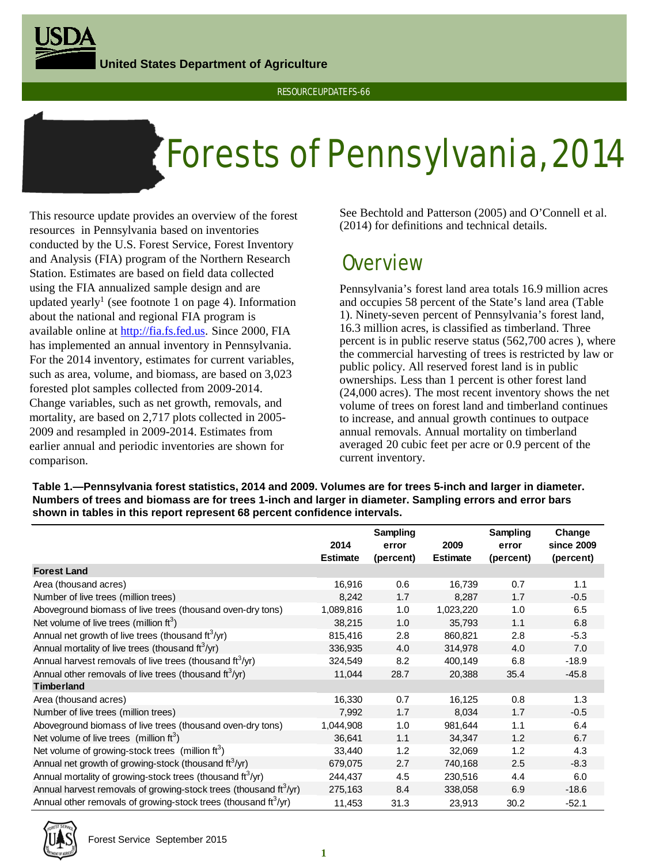**United States Department of Agriculture**

# Forests of Pennsylvania, 2014

This resource update provides an overview of the forest resources in Pennsylvania based on inventories conducted by the U.S. Forest Service, Forest Inventory and Analysis (FIA) program of the Northern Research Station. Estimates are based on field data collected using the FIA annualized sample design and are updated yearly<sup>1</sup> (see footnote 1 on page 4). Information about the national and regional FIA program is available online at [http://fia.fs.fed.us.](http://fia.fs.fed.us/) Since 2000, FIA has implemented an annual inventory in Pennsylvania. For the 2014 inventory, estimates for current variables, such as area, volume, and biomass, are based on 3,023 forested plot samples collected from 2009-2014. Change variables, such as net growth, removals, and mortality, are based on 2,717 plots collected in 2005- 2009 and resampled in 2009-2014. Estimates from earlier annual and periodic inventories are shown for comparison.

See Bechtold and Patterson (2005) and O'Connell et al. (2014) for definitions and technical details.

## **Overview**

Pennsylvania's forest land area totals 16.9 million acres and occupies 58 percent of the State's land area (Table 1). Ninety-seven percent of Pennsylvania's forest land, 16.3 million acres, is classified as timberland. Three percent is in public reserve status (562,700 acres ), where the commercial harvesting of trees is restricted by law or public policy. All reserved forest land is in public ownerships. Less than 1 percent is other forest land (24,000 acres). The most recent inventory shows the net volume of trees on forest land and timberland continues to increase, and annual growth continues to outpace annual removals. Annual mortality on timberland averaged 20 cubic feet per acre or 0.9 percent of the current inventory.

**Table 1.—Pennsylvania forest statistics, 2014 and 2009. Volumes are for trees 5-inch and larger in diameter. Numbers of trees and biomass are for trees 1-inch and larger in diameter. Sampling errors and error bars shown in tables in this report represent 68 percent confidence intervals.**

|                                                                                    |                 | Sampling  |                 | Sampling  | Change     |
|------------------------------------------------------------------------------------|-----------------|-----------|-----------------|-----------|------------|
|                                                                                    | 2014            | error     | 2009            | error     | since 2009 |
|                                                                                    | <b>Estimate</b> | (percent) | <b>Estimate</b> | (percent) | (percent)  |
| <b>Forest Land</b>                                                                 |                 |           |                 |           |            |
| Area (thousand acres)                                                              | 16,916          | 0.6       | 16,739          | 0.7       | 1.1        |
| Number of live trees (million trees)                                               | 8,242           | 1.7       | 8,287           | 1.7       | $-0.5$     |
| Aboveground biomass of live trees (thousand oven-dry tons)                         | 1,089,816       | 1.0       | 1,023,220       | 1.0       | 6.5        |
| Net volume of live trees (million $ft^3$ )                                         | 38,215          | 1.0       | 35,793          | 1.1       | 6.8        |
| Annual net growth of live trees (thousand ft <sup>3</sup> /yr)                     | 815,416         | 2.8       | 860,821         | 2.8       | $-5.3$     |
| Annual mortality of live trees (thousand $\text{ft}^3/\text{yr}$ )                 | 336,935         | 4.0       | 314,978         | 4.0       | 7.0        |
| Annual harvest removals of live trees (thousand ft <sup>3</sup> /yr)               | 324,549         | 8.2       | 400,149         | 6.8       | $-18.9$    |
| Annual other removals of live trees (thousand $\text{ft}^3/\text{yr}$ )            | 11,044          | 28.7      | 20,388          | 35.4      | $-45.8$    |
| <b>Timberland</b>                                                                  |                 |           |                 |           |            |
| Area (thousand acres)                                                              | 16,330          | 0.7       | 16,125          | 0.8       | 1.3        |
| Number of live trees (million trees)                                               | 7,992           | 1.7       | 8,034           | 1.7       | $-0.5$     |
| Aboveground biomass of live trees (thousand oven-dry tons)                         | 1,044,908       | 1.0       | 981,644         | 1.1       | 6.4        |
| Net volume of live trees (million ft <sup>3</sup> )                                | 36,641          | 1.1       | 34.347          | 1.2       | 6.7        |
| Net volume of growing-stock trees (million ft <sup>3</sup> )                       | 33,440          | 1.2       | 32,069          | 1.2       | 4.3        |
| Annual net growth of growing-stock (thousand ft <sup>3</sup> /yr)                  | 679,075         | 2.7       | 740,168         | 2.5       | $-8.3$     |
| Annual mortality of growing-stock trees (thousand ft <sup>3</sup> /yr)             | 244,437         | 4.5       | 230,516         | 4.4       | 6.0        |
| Annual harvest removals of growing-stock trees (thousand $\text{ft}^3/\text{yr}$ ) | 275,163         | 8.4       | 338,058         | 6.9       | $-18.6$    |
| Annual other removals of growing-stock trees (thousand ft <sup>3</sup> /yr)        | 11,453          | 31.3      | 23,913          | 30.2      | $-52.1$    |

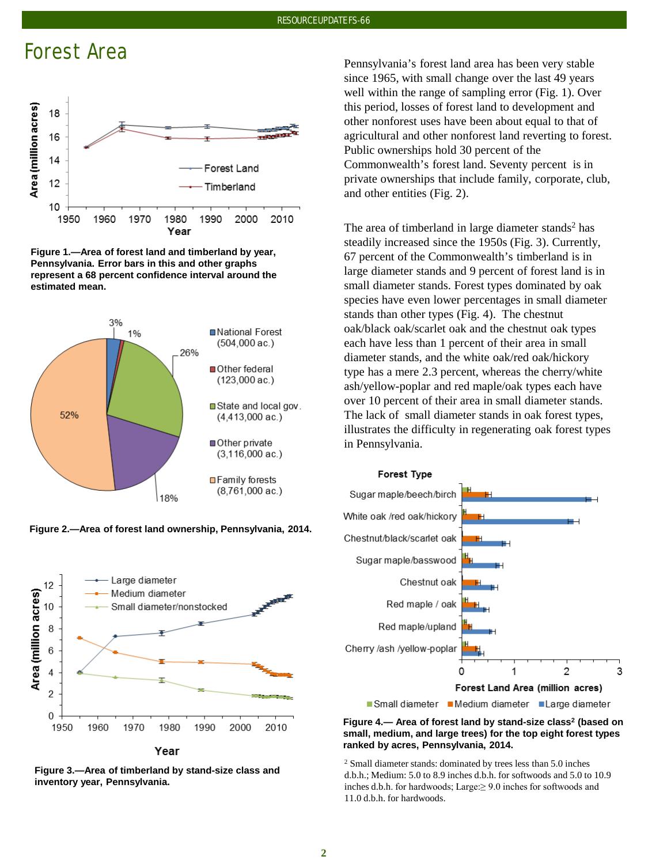## Forest Area







**Figure 2.—Area of forest land ownership, Pennsylvania, 2014.**



**Figure 3.—Area of timberland by stand-size class and inventory year, Pennsylvania.**

Pennsylvania's forest land area has been very stable since 1965, with small change over the last 49 years well within the range of sampling error (Fig. 1). Over this period, losses of forest land to development and other nonforest uses have been about equal to that of agricultural and other nonforest land reverting to forest. Public ownerships hold 30 percent of the Commonwealth's forest land. Seventy percent is in private ownerships that include family, corporate, club, and other entities (Fig. 2).

The area of timberland in large diameter stands<sup>2</sup> has steadily increased since the 1950s (Fig. 3). Currently, 67 percent of the Commonwealth's timberland is in large diameter stands and 9 percent of forest land is in small diameter stands. Forest types dominated by oak species have even lower percentages in small diameter stands than other types (Fig. 4). The chestnut oak/black oak/scarlet oak and the chestnut oak types each have less than 1 percent of their area in small diameter stands, and the white oak/red oak/hickory type has a mere 2.3 percent, whereas the cherry/white ash/yellow-poplar and red maple/oak types each have over 10 percent of their area in small diameter stands. The lack of small diameter stands in oak forest types, illustrates the difficulty in regenerating oak forest types in Pennsylvania.



**Figure 4.— Area of forest land by stand-size class2 (based on small, medium, and large trees) for the top eight forest types ranked by acres, Pennsylvania, 2014.**

<sup>2</sup> Small diameter stands: dominated by trees less than 5.0 inches d.b.h.; Medium: 5.0 to 8.9 inches d.b.h. for softwoods and 5.0 to 10.9 inches d.b.h. for hardwoods; Large:≥ 9.0 inches for softwoods and 11.0 d.b.h. for hardwoods.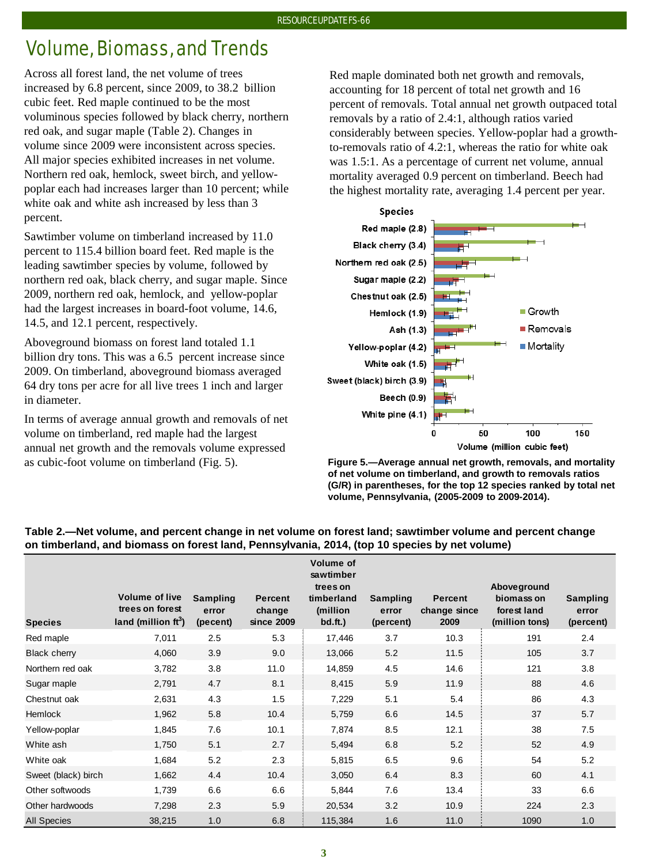## Volume, Biomass, and Trends

Across all forest land, the net volume of trees increased by 6.8 percent, since 2009, to 38.2 billion cubic feet. Red maple continued to be the most voluminous species followed by black cherry, northern red oak, and sugar maple (Table 2). Changes in volume since 2009 were inconsistent across species. All major species exhibited increases in net volume. Northern red oak, hemlock, sweet birch, and yellowpoplar each had increases larger than 10 percent; while white oak and white ash increased by less than 3 percent.

Sawtimber volume on timberland increased by 11.0 percent to 115.4 billion board feet. Red maple is the leading sawtimber species by volume, followed by northern red oak, black cherry, and sugar maple. Since 2009, northern red oak, hemlock, and yellow-poplar had the largest increases in board-foot volume, 14.6, 14.5, and 12.1 percent, respectively.

Aboveground biomass on forest land totaled 1.1 billion dry tons. This was a 6.5 percent increase since 2009. On timberland, aboveground biomass averaged 64 dry tons per acre for all live trees 1 inch and larger in diameter.

In terms of average annual growth and removals of net volume on timberland, red maple had the largest annual net growth and the removals volume expressed as cubic-foot volume on timberland (Fig. 5).

Red maple dominated both net growth and removals, accounting for 18 percent of total net growth and 16 percent of removals. Total annual net growth outpaced total removals by a ratio of 2.4:1, although ratios varied considerably between species. Yellow-poplar had a growthto-removals ratio of 4.2:1, whereas the ratio for white oak was 1.5:1. As a percentage of current net volume, annual mortality averaged 0.9 percent on timberland. Beech had the highest mortality rate, averaging 1.4 percent per year.



**Figure 5.—Average annual net growth, removals, and mortality of net volume on timberland, and growth to removals ratios (G/R) in parentheses, for the top 12 species ranked by total net volume, Pennsylvania, (2005-2009 to 2009-2014).**

#### **Species Volume of live trees on forest**  land (million ft<sup>3</sup>) **Sampling error (pecent) Percent change since 2009 Volume of sawtimber trees on timberland (million bd.ft.) Sampling error (percent) Percent change since 2009 Aboveground biomass on forest land (million tons) Sampling error (percent)** Red maple 7,011 2.5 5.3 { 17,446 3.7 10.3 { 191 2.4 Black cherry 4,060 3.9 9.0 } 13,066 5.2 11.5 } 105 3.7 Northern red oak 3,782 3.8 11.0 { 14,859 4.5 14.6 { 121 3.8 Sugar maple 2,791 4.7 8.1 } 8,415 5.9 11.9 } 88 4.6 Chestnut oak 2,631 4.3 1.5 7,229 5.1 5.4 86 4.3 Hemlock 1,962 5.8 10.4 5,759 6.6 14.5 37 5.7 Yellow-poplar 1,845 7.6 10.1 7,874 8.5 12.1 38 7.5 White ash 1,750 5.1 2.7 5,494 6.8 5.2 52 4.9 White oak 1,684 5.2 2.3 { 5,815 6.5 9.6 { 54 5.2 Sweet (black) birch 1,662 4.4 10.4 3,050 6.4 8.3 60 4.1 Other softwoods 1,739 6.6 6.6 5,844 7.6 13.4 33 6.6 Other hardwoods 7,298 2.3 5.9 20,534 3.2 10.9 224 2.3 All Species 38,215 1.0 6.8 115,384 1.6 11.0 1090 1.0

### **Table 2.—Net volume, and percent change in net volume on forest land; sawtimber volume and percent change on timberland, and biomass on forest land, Pennsylvania, 2014, (top 10 species by net volume)**